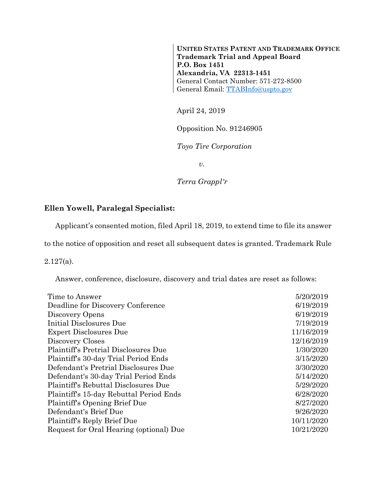**UNITED STATES PATENT AND TRADEMARK OFFICE Trademark Trial and Appeal Board P.O. Box 1451 Alexandria, VA 22313-1451**  General Contact Number: 571-272-8500 General Email: TTABInfo@uspto.gov

April 24, 2019

Opposition No. 91246905

*Toyo Tire Corporation* 

*v.* 

*Terra Grappl'r* 

## **Ellen Yowell, Paralegal Specialist:**

Applicant's consented motion, filed April 18, 2019, to extend time to file its answer

to the notice of opposition and reset all subsequent dates is granted. Trademark Rule

2.127(a).

Answer, conference, disclosure, discovery and trial dates are reset as follows:

| Time to Answer                              | 5/20/2019  |
|---------------------------------------------|------------|
| Deadline for Discovery Conference           | 6/19/2019  |
| Discovery Opens                             | 6/19/2019  |
| Initial Disclosures Due                     | 7/19/2019  |
| <b>Expert Disclosures Due</b>               | 11/16/2019 |
| Discovery Closes                            | 12/16/2019 |
| <b>Plaintiff's Pretrial Disclosures Due</b> | 1/30/2020  |
| Plaintiff's 30-day Trial Period Ends        | 3/15/2020  |
| Defendant's Pretrial Disclosures Due        | 3/30/2020  |
| Defendant's 30-day Trial Period Ends        | 5/14/2020  |
| Plaintiff's Rebuttal Disclosures Due        | 5/29/2020  |
| Plaintiff's 15-day Rebuttal Period Ends     | 6/28/2020  |
| Plaintiff's Opening Brief Due               | 8/27/2020  |
| Defendant's Brief Due                       | 9/26/2020  |
| Plaintiff's Reply Brief Due                 | 10/11/2020 |
| Request for Oral Hearing (optional) Due     | 10/21/2020 |
|                                             |            |